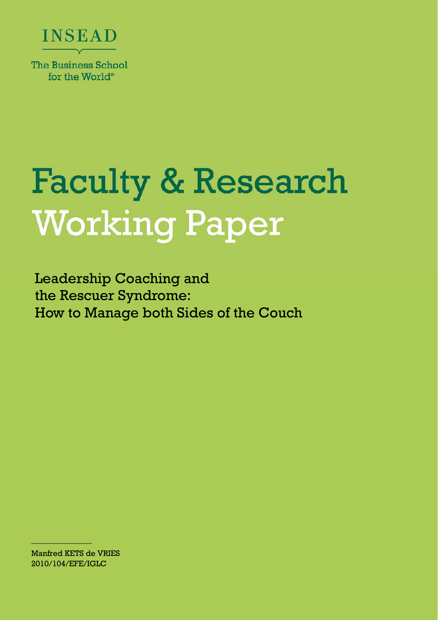

**The Business School** for the World®

# **Faculty & Research Working Paper**

Leadership Coaching and the Rescuer Syndrome: How to Manage both Sides of the Couch

Manfred KETS de VRIES 2010/104/EFE/IGLC

 $\overline{\phantom{a}}$  , and the set of the set of the set of the set of the set of the set of the set of the set of the set of the set of the set of the set of the set of the set of the set of the set of the set of the set of the s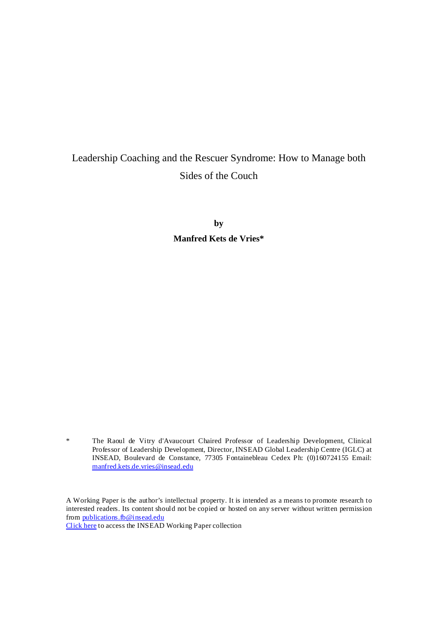# Leadership Coaching and the Rescuer Syndrome: How to Manage both Sides of the Couch

**by Manfred Kets de Vries\***

\* The Raoul de Vitry d'Avaucourt Chaired Professor of Leadership Development, Clinical Professor of Leadership Development, Director, INSEAD Global Leadership Centre (IGLC) at INSEAD, Boulevard de Constance, 77305 Fontainebleau Cedex Ph: (0)160724155 Email: manfred.kets.de.vries@insead.edu

A Working Paper is the author's intellectual property. It is intended as a means to promote research to interested readers. Its content should not be copied or hosted on any server without written permission from publications.fb@insead.edu

[Click here](http://www.insead.edu/facultyresearch/research/search_papers.cfm) to access the INSEAD Working Paper collection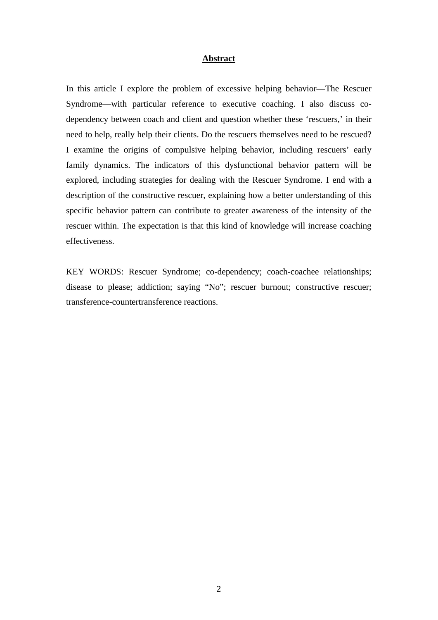# **Abstract**

In this article I explore the problem of excessive helping behavior—The Rescuer Syndrome—with particular reference to executive coaching. I also discuss codependency between coach and client and question whether these 'rescuers,' in their need to help, really help their clients. Do the rescuers themselves need to be rescued? I examine the origins of compulsive helping behavior, including rescuers' early family dynamics. The indicators of this dysfunctional behavior pattern will be explored, including strategies for dealing with the Rescuer Syndrome. I end with a description of the constructive rescuer, explaining how a better understanding of this specific behavior pattern can contribute to greater awareness of the intensity of the rescuer within. The expectation is that this kind of knowledge will increase coaching effectiveness.

KEY WORDS: Rescuer Syndrome; co-dependency; coach-coachee relationships; disease to please; addiction; saying "No"; rescuer burnout; constructive rescuer; transference-countertransference reactions.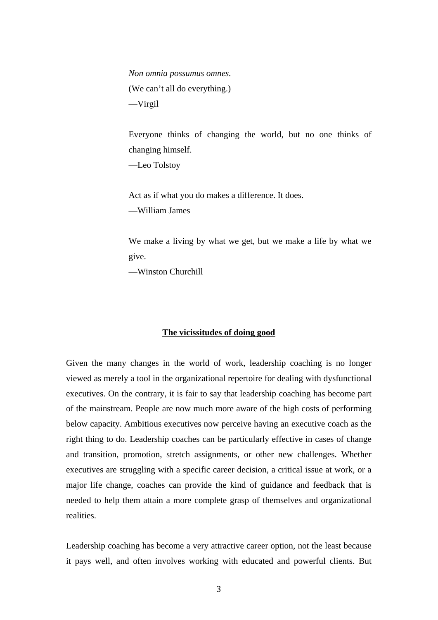*Non omnia possumus omnes.*  (We can't all do everything.) —Virgil

Everyone thinks of changing the world, but no one thinks of changing himself.

—Leo Tolstoy

Act as if what you do makes a difference. It does.

—William James

We make a living by what we get, but we make a life by what we give.

—Winston Churchill

#### **The vicissitudes of doing good**

Given the many changes in the world of work, leadership coaching is no longer viewed as merely a tool in the organizational repertoire for dealing with dysfunctional executives. On the contrary, it is fair to say that leadership coaching has become part of the mainstream. People are now much more aware of the high costs of performing below capacity. Ambitious executives now perceive having an executive coach as the right thing to do. Leadership coaches can be particularly effective in cases of change and transition, promotion, stretch assignments, or other new challenges. Whether executives are struggling with a specific career decision, a critical issue at work, or a major life change, coaches can provide the kind of guidance and feedback that is needed to help them attain a more complete grasp of themselves and organizational realities.

Leadership coaching has become a very attractive career option, not the least because it pays well, and often involves working with educated and powerful clients. But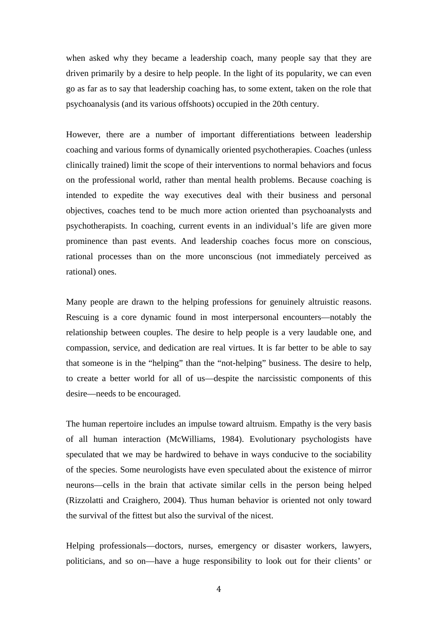when asked why they became a leadership coach, many people say that they are driven primarily by a desire to help people. In the light of its popularity, we can even go as far as to say that leadership coaching has, to some extent, taken on the role that psychoanalysis (and its various offshoots) occupied in the 20th century.

However, there are a number of important differentiations between leadership coaching and various forms of dynamically oriented psychotherapies. Coaches (unless clinically trained) limit the scope of their interventions to normal behaviors and focus on the professional world, rather than mental health problems. Because coaching is intended to expedite the way executives deal with their business and personal objectives, coaches tend to be much more action oriented than psychoanalysts and psychotherapists. In coaching, current events in an individual's life are given more prominence than past events. And leadership coaches focus more on conscious, rational processes than on the more unconscious (not immediately perceived as rational) ones.

Many people are drawn to the helping professions for genuinely altruistic reasons. Rescuing is a core dynamic found in most interpersonal encounters—notably the relationship between couples. The desire to help people is a very laudable one, and compassion, service, and dedication are real virtues. It is far better to be able to say that someone is in the "helping" than the "not-helping" business. The desire to help, to create a better world for all of us—despite the narcissistic components of this desire—needs to be encouraged.

The human repertoire includes an impulse toward altruism. Empathy is the very basis of all human interaction (McWilliams, 1984). Evolutionary psychologists have speculated that we may be hardwired to behave in ways conducive to the sociability of the species. Some neurologists have even speculated about the existence of mirror neurons—cells in the brain that activate similar cells in the person being helped (Rizzolatti and Craighero, 2004). Thus human behavior is oriented not only toward the survival of the fittest but also the survival of the nicest.

Helping professionals—doctors, nurses, emergency or disaster workers, lawyers, politicians, and so on—have a huge responsibility to look out for their clients' or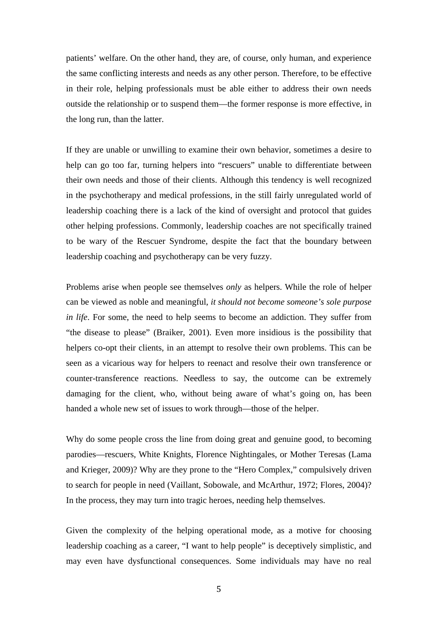patients' welfare. On the other hand, they are, of course, only human, and experience the same conflicting interests and needs as any other person. Therefore, to be effective in their role, helping professionals must be able either to address their own needs outside the relationship or to suspend them—the former response is more effective, in the long run, than the latter.

If they are unable or unwilling to examine their own behavior, sometimes a desire to help can go too far, turning helpers into "rescuers" unable to differentiate between their own needs and those of their clients. Although this tendency is well recognized in the psychotherapy and medical professions, in the still fairly unregulated world of leadership coaching there is a lack of the kind of oversight and protocol that guides other helping professions. Commonly, leadership coaches are not specifically trained to be wary of the Rescuer Syndrome, despite the fact that the boundary between leadership coaching and psychotherapy can be very fuzzy.

Problems arise when people see themselves *only* as helpers. While the role of helper can be viewed as noble and meaningful, *it should not become someone's sole purpose in life*. For some, the need to help seems to become an addiction. They suffer from "the disease to please" (Braiker, 2001). Even more insidious is the possibility that helpers co-opt their clients, in an attempt to resolve their own problems. This can be seen as a vicarious way for helpers to reenact and resolve their own transference or counter-transference reactions. Needless to say, the outcome can be extremely damaging for the client, who, without being aware of what's going on, has been handed a whole new set of issues to work through—those of the helper.

Why do some people cross the line from doing great and genuine good, to becoming parodies—rescuers, White Knights, Florence Nightingales, or Mother Teresas (Lama and Krieger, 2009)? Why are they prone to the "Hero Complex," compulsively driven to search for people in need (Vaillant, Sobowale, and McArthur, 1972; Flores, 2004)? In the process, they may turn into tragic heroes, needing help themselves.

Given the complexity of the helping operational mode, as a motive for choosing leadership coaching as a career, "I want to help people" is deceptively simplistic, and may even have dysfunctional consequences. Some individuals may have no real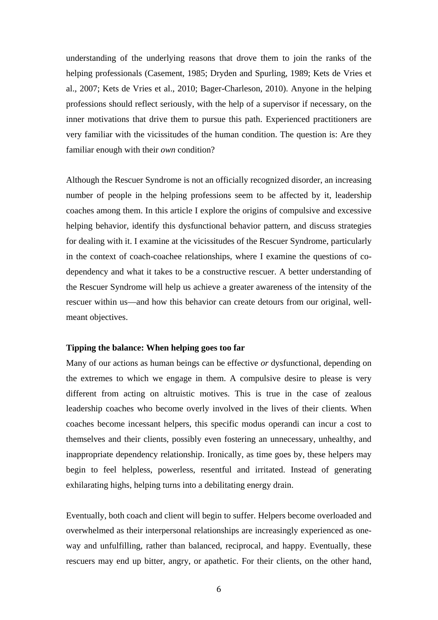understanding of the underlying reasons that drove them to join the ranks of the helping professionals (Casement, 1985; Dryden and Spurling, 1989; Kets de Vries et al., 2007; Kets de Vries et al., 2010; Bager-Charleson, 2010). Anyone in the helping professions should reflect seriously, with the help of a supervisor if necessary, on the inner motivations that drive them to pursue this path. Experienced practitioners are very familiar with the vicissitudes of the human condition. The question is: Are they familiar enough with their *own* condition?

Although the Rescuer Syndrome is not an officially recognized disorder, an increasing number of people in the helping professions seem to be affected by it, leadership coaches among them. In this article I explore the origins of compulsive and excessive helping behavior, identify this dysfunctional behavior pattern, and discuss strategies for dealing with it. I examine at the vicissitudes of the Rescuer Syndrome, particularly in the context of coach-coachee relationships, where I examine the questions of codependency and what it takes to be a constructive rescuer. A better understanding of the Rescuer Syndrome will help us achieve a greater awareness of the intensity of the rescuer within us—and how this behavior can create detours from our original, wellmeant objectives.

#### **Tipping the balance: When helping goes too far**

Many of our actions as human beings can be effective *or* dysfunctional, depending on the extremes to which we engage in them. A compulsive desire to please is very different from acting on altruistic motives. This is true in the case of zealous leadership coaches who become overly involved in the lives of their clients. When coaches become incessant helpers, this specific modus operandi can incur a cost to themselves and their clients, possibly even fostering an unnecessary, unhealthy, and inappropriate dependency relationship. Ironically, as time goes by, these helpers may begin to feel helpless, powerless, resentful and irritated. Instead of generating exhilarating highs, helping turns into a debilitating energy drain.

Eventually, both coach and client will begin to suffer. Helpers become overloaded and overwhelmed as their interpersonal relationships are increasingly experienced as oneway and unfulfilling, rather than balanced, reciprocal, and happy. Eventually, these rescuers may end up bitter, angry, or apathetic. For their clients, on the other hand,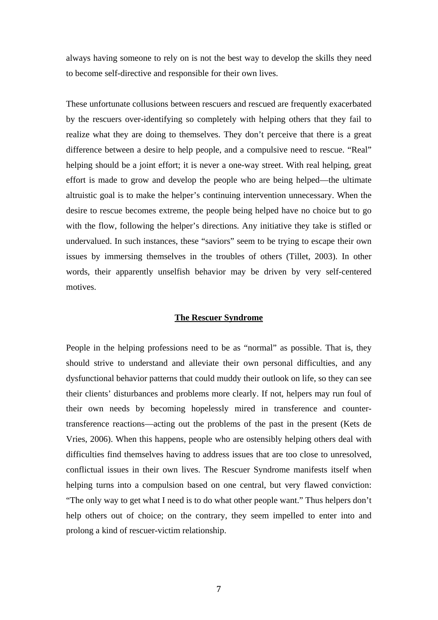always having someone to rely on is not the best way to develop the skills they need to become self-directive and responsible for their own lives.

These unfortunate collusions between rescuers and rescued are frequently exacerbated by the rescuers over-identifying so completely with helping others that they fail to realize what they are doing to themselves. They don't perceive that there is a great difference between a desire to help people, and a compulsive need to rescue. "Real" helping should be a joint effort; it is never a one-way street. With real helping, great effort is made to grow and develop the people who are being helped—the ultimate altruistic goal is to make the helper's continuing intervention unnecessary. When the desire to rescue becomes extreme, the people being helped have no choice but to go with the flow, following the helper's directions. Any initiative they take is stifled or undervalued. In such instances, these "saviors" seem to be trying to escape their own issues by immersing themselves in the troubles of others (Tillet, 2003). In other words, their apparently unselfish behavior may be driven by very self-centered motives.

# **The Rescuer Syndrome**

People in the helping professions need to be as "normal" as possible. That is, they should strive to understand and alleviate their own personal difficulties, and any dysfunctional behavior patterns that could muddy their outlook on life, so they can see their clients' disturbances and problems more clearly. If not, helpers may run foul of their own needs by becoming hopelessly mired in transference and countertransference reactions—acting out the problems of the past in the present (Kets de Vries, 2006). When this happens, people who are ostensibly helping others deal with difficulties find themselves having to address issues that are too close to unresolved, conflictual issues in their own lives. The Rescuer Syndrome manifests itself when helping turns into a compulsion based on one central, but very flawed conviction: "The only way to get what I need is to do what other people want." Thus helpers don't help others out of choice; on the contrary, they seem impelled to enter into and prolong a kind of rescuer-victim relationship.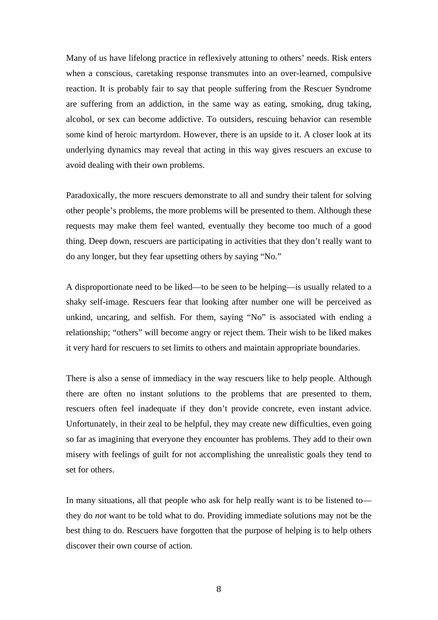Many of us have lifelong practice in reflexively attuning to others' needs. Risk enters when a conscious, caretaking response transmutes into an over-learned, compulsive reaction. It is probably fair to say that people suffering from the Rescuer Syndrome are suffering from an addiction, in the same way as eating, smoking, drug taking, alcohol, or sex can become addictive. To outsiders, rescuing behavior can resemble some kind of heroic martyrdom. However, there is an upside to it. A closer look at its underlying dynamics may reveal that acting in this way gives rescuers an excuse to avoid dealing with their own problems.

Paradoxically, the more rescuers demonstrate to all and sundry their talent for solving other people's problems, the more problems will be presented to them. Although these requests may make them feel wanted, eventually they become too much of a good thing. Deep down, rescuers are participating in activities that they don't really want to do any longer, but they fear upsetting others by saying "No."

A disproportionate need to be liked—to be seen to be helping—is usually related to a shaky self-image. Rescuers fear that looking after number one will be perceived as unkind, uncaring, and selfish. For them, saying "No" is associated with ending a relationship; "others" will become angry or reject them. Their wish to be liked makes it very hard for rescuers to set limits to others and maintain appropriate boundaries.

There is also a sense of immediacy in the way rescuers like to help people. Although there are often no instant solutions to the problems that are presented to them, rescuers often feel inadequate if they don't provide concrete, even instant advice. Unfortunately, in their zeal to be helpful, they may create new difficulties, even going so far as imagining that everyone they encounter has problems. They add to their own misery with feelings of guilt for not accomplishing the unrealistic goals they tend to set for others.

In many situations, all that people who ask for help really want is to be listened to they do *not* want to be told what to do. Providing immediate solutions may not be the best thing to do. Rescuers have forgotten that the purpose of helping is to help others discover their own course of action.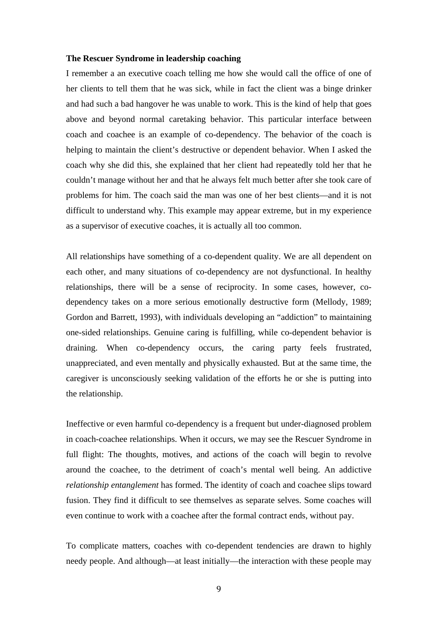#### **The Rescuer Syndrome in leadership coaching**

I remember a an executive coach telling me how she would call the office of one of her clients to tell them that he was sick, while in fact the client was a binge drinker and had such a bad hangover he was unable to work. This is the kind of help that goes above and beyond normal caretaking behavior. This particular interface between coach and coachee is an example of co-dependency. The behavior of the coach is helping to maintain the client's destructive or dependent behavior. When I asked the coach why she did this, she explained that her client had repeatedly told her that he couldn't manage without her and that he always felt much better after she took care of problems for him. The coach said the man was one of her best clients—and it is not difficult to understand why. This example may appear extreme, but in my experience as a supervisor of executive coaches, it is actually all too common.

All relationships have something of a co-dependent quality. We are all dependent on each other, and many situations of co-dependency are not dysfunctional. In healthy relationships, there will be a sense of reciprocity. In some cases, however, codependency takes on a more serious emotionally destructive form (Mellody, 1989; Gordon and Barrett, 1993), with individuals developing an "addiction" to maintaining one-sided relationships. Genuine caring is fulfilling, while co-dependent behavior is draining. When co-dependency occurs, the caring party feels frustrated, unappreciated, and even mentally and physically exhausted. But at the same time, the caregiver is unconsciously seeking validation of the efforts he or she is putting into the relationship.

Ineffective or even harmful co-dependency is a frequent but under-diagnosed problem in coach-coachee relationships. When it occurs, we may see the Rescuer Syndrome in full flight: The thoughts, motives, and actions of the coach will begin to revolve around the coachee, to the detriment of coach's mental well being. An addictive *relationship entanglement* has formed. The identity of coach and coachee slips toward fusion. They find it difficult to see themselves as separate selves. Some coaches will even continue to work with a coachee after the formal contract ends, without pay.

To complicate matters, coaches with co-dependent tendencies are drawn to highly needy people. And although—at least initially—the interaction with these people may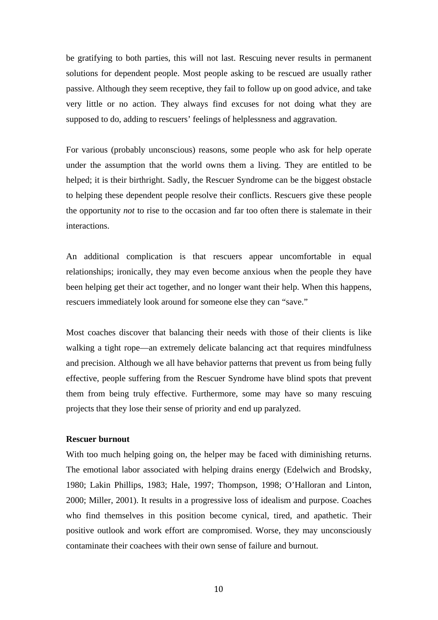be gratifying to both parties, this will not last. Rescuing never results in permanent solutions for dependent people. Most people asking to be rescued are usually rather passive. Although they seem receptive, they fail to follow up on good advice, and take very little or no action. They always find excuses for not doing what they are supposed to do, adding to rescuers' feelings of helplessness and aggravation.

For various (probably unconscious) reasons, some people who ask for help operate under the assumption that the world owns them a living. They are entitled to be helped; it is their birthright. Sadly, the Rescuer Syndrome can be the biggest obstacle to helping these dependent people resolve their conflicts. Rescuers give these people the opportunity *not* to rise to the occasion and far too often there is stalemate in their interactions.

An additional complication is that rescuers appear uncomfortable in equal relationships; ironically, they may even become anxious when the people they have been helping get their act together, and no longer want their help. When this happens, rescuers immediately look around for someone else they can "save."

Most coaches discover that balancing their needs with those of their clients is like walking a tight rope—an extremely delicate balancing act that requires mindfulness and precision. Although we all have behavior patterns that prevent us from being fully effective, people suffering from the Rescuer Syndrome have blind spots that prevent them from being truly effective. Furthermore, some may have so many rescuing projects that they lose their sense of priority and end up paralyzed.

# **Rescuer burnout**

With too much helping going on, the helper may be faced with diminishing returns. The emotional labor associated with helping drains energy (Edelwich and Brodsky, 1980; Lakin Phillips, 1983; Hale, 1997; Thompson, 1998; O'Halloran and Linton, 2000; Miller, 2001). It results in a progressive loss of idealism and purpose. Coaches who find themselves in this position become cynical, tired, and apathetic. Their positive outlook and work effort are compromised. Worse, they may unconsciously contaminate their coachees with their own sense of failure and burnout.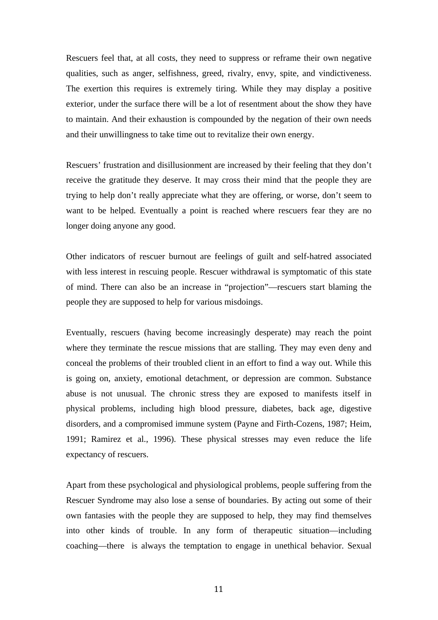Rescuers feel that, at all costs, they need to suppress or reframe their own negative qualities, such as anger, selfishness, greed, rivalry, envy, spite, and vindictiveness. The exertion this requires is extremely tiring. While they may display a positive exterior, under the surface there will be a lot of resentment about the show they have to maintain. And their exhaustion is compounded by the negation of their own needs and their unwillingness to take time out to revitalize their own energy.

Rescuers' frustration and disillusionment are increased by their feeling that they don't receive the gratitude they deserve. It may cross their mind that the people they are trying to help don't really appreciate what they are offering, or worse, don't seem to want to be helped. Eventually a point is reached where rescuers fear they are no longer doing anyone any good.

Other indicators of rescuer burnout are feelings of guilt and self-hatred associated with less interest in rescuing people. Rescuer withdrawal is symptomatic of this state of mind. There can also be an increase in "projection"—rescuers start blaming the people they are supposed to help for various misdoings.

Eventually, rescuers (having become increasingly desperate) may reach the point where they terminate the rescue missions that are stalling. They may even deny and conceal the problems of their troubled client in an effort to find a way out. While this is going on, anxiety, emotional detachment, or depression are common. Substance abuse is not unusual. The chronic stress they are exposed to manifests itself in physical problems, including high blood pressure, diabetes, back age, digestive disorders, and a compromised immune system (Payne and Firth-Cozens, 1987; Heim, 1991; Ramirez et al., 1996). These physical stresses may even reduce the life expectancy of rescuers.

Apart from these psychological and physiological problems, people suffering from the Rescuer Syndrome may also lose a sense of boundaries. By acting out some of their own fantasies with the people they are supposed to help, they may find themselves into other kinds of trouble. In any form of therapeutic situation—including coaching—there is always the temptation to engage in unethical behavior. Sexual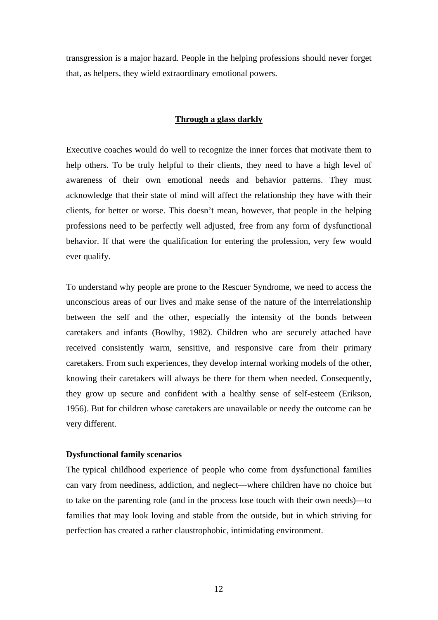transgression is a major hazard. People in the helping professions should never forget that, as helpers, they wield extraordinary emotional powers.

#### **Through a glass darkly**

Executive coaches would do well to recognize the inner forces that motivate them to help others. To be truly helpful to their clients, they need to have a high level of awareness of their own emotional needs and behavior patterns. They must acknowledge that their state of mind will affect the relationship they have with their clients, for better or worse. This doesn't mean, however, that people in the helping professions need to be perfectly well adjusted, free from any form of dysfunctional behavior. If that were the qualification for entering the profession, very few would ever qualify.

To understand why people are prone to the Rescuer Syndrome, we need to access the unconscious areas of our lives and make sense of the nature of the interrelationship between the self and the other, especially the intensity of the bonds between caretakers and infants (Bowlby, 1982). Children who are securely attached have received consistently warm, sensitive, and responsive care from their primary caretakers. From such experiences, they develop internal working models of the other, knowing their caretakers will always be there for them when needed. Consequently, they grow up secure and confident with a healthy sense of self-esteem (Erikson, 1956). But for children whose caretakers are unavailable or needy the outcome can be very different.

#### **Dysfunctional family scenarios**

The typical childhood experience of people who come from dysfunctional families can vary from neediness, addiction, and neglect—where children have no choice but to take on the parenting role (and in the process lose touch with their own needs)—to families that may look loving and stable from the outside, but in which striving for perfection has created a rather claustrophobic, intimidating environment.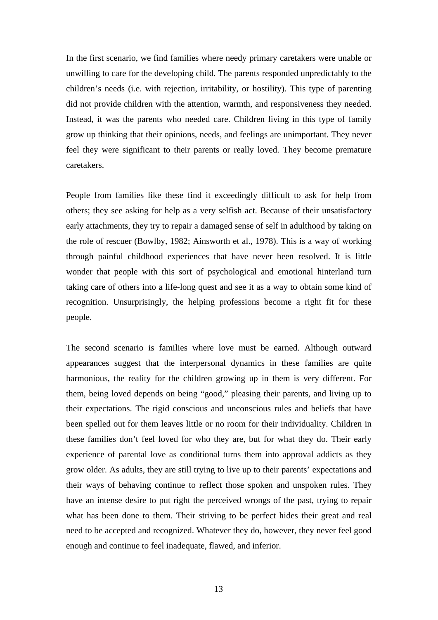In the first scenario, we find families where needy primary caretakers were unable or unwilling to care for the developing child. The parents responded unpredictably to the children's needs (i.e. with rejection, irritability, or hostility). This type of parenting did not provide children with the attention, warmth, and responsiveness they needed. Instead, it was the parents who needed care. Children living in this type of family grow up thinking that their opinions, needs, and feelings are unimportant. They never feel they were significant to their parents or really loved. They become premature caretakers.

People from families like these find it exceedingly difficult to ask for help from others; they see asking for help as a very selfish act. Because of their unsatisfactory early attachments, they try to repair a damaged sense of self in adulthood by taking on the role of rescuer (Bowlby, 1982; Ainsworth et al., 1978). This is a way of working through painful childhood experiences that have never been resolved. It is little wonder that people with this sort of psychological and emotional hinterland turn taking care of others into a life-long quest and see it as a way to obtain some kind of recognition. Unsurprisingly, the helping professions become a right fit for these people.

The second scenario is families where love must be earned. Although outward appearances suggest that the interpersonal dynamics in these families are quite harmonious, the reality for the children growing up in them is very different. For them, being loved depends on being "good," pleasing their parents, and living up to their expectations. The rigid conscious and unconscious rules and beliefs that have been spelled out for them leaves little or no room for their individuality. Children in these families don't feel loved for who they are, but for what they do. Their early experience of parental love as conditional turns them into approval addicts as they grow older. As adults, they are still trying to live up to their parents' expectations and their ways of behaving continue to reflect those spoken and unspoken rules. They have an intense desire to put right the perceived wrongs of the past, trying to repair what has been done to them. Their striving to be perfect hides their great and real need to be accepted and recognized. Whatever they do, however, they never feel good enough and continue to feel inadequate, flawed, and inferior.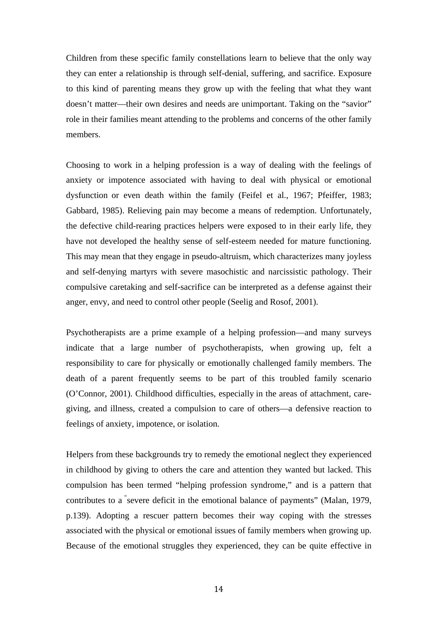Children from these specific family constellations learn to believe that the only way they can enter a relationship is through self-denial, suffering, and sacrifice. Exposure to this kind of parenting means they grow up with the feeling that what they want doesn't matter—their own desires and needs are unimportant. Taking on the "savior" role in their families meant attending to the problems and concerns of the other family members.

Choosing to work in a helping profession is a way of dealing with the feelings of anxiety or impotence associated with having to deal with physical or emotional dysfunction or even death within the family (Feifel et al., 1967; Pfeiffer, 1983; Gabbard, 1985). Relieving pain may become a means of redemption. Unfortunately, the defective child-rearing practices helpers were exposed to in their early life, they have not developed the healthy sense of self-esteem needed for mature functioning. This may mean that they engage in pseudo-altruism, which characterizes many joyless and self-denying martyrs with severe masochistic and narcissistic pathology. Their compulsive caretaking and self-sacrifice can be interpreted as a defense against their anger, envy, and need to control other people (Seelig and Rosof, 2001).

Psychotherapists are a prime example of a helping profession—and many surveys indicate that a large number of psychotherapists, when growing up, felt a responsibility to care for physically or emotionally challenged family members. The death of a parent frequently seems to be part of this troubled family scenario (O'Connor, 2001). Childhood difficulties, especially in the areas of attachment, caregiving, and illness, created a compulsion to care of others—a defensive reaction to feelings of anxiety, impotence, or isolation.

Helpers from these backgrounds try to remedy the emotional neglect they experienced in childhood by giving to others the care and attention they wanted but lacked. This compulsion has been termed "helping profession syndrome," and is a pattern that contributes to a "severe deficit in the emotional balance of payments" (Malan, 1979, p.139). Adopting a rescuer pattern becomes their way coping with the stresses associated with the physical or emotional issues of family members when growing up. Because of the emotional struggles they experienced, they can be quite effective in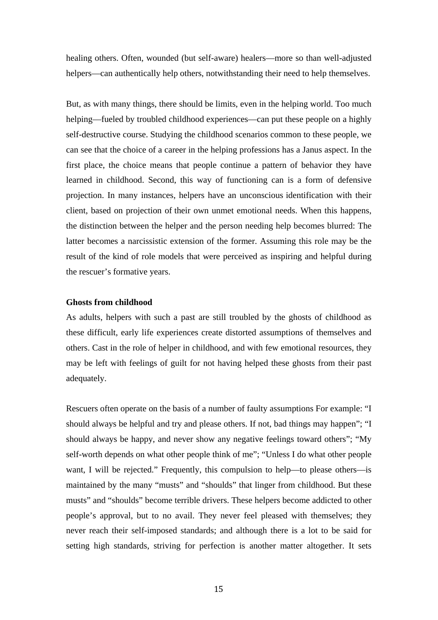healing others. Often, wounded (but self-aware) healers—more so than well-adjusted helpers—can authentically help others, notwithstanding their need to help themselves.

But, as with many things, there should be limits, even in the helping world. Too much helping—fueled by troubled childhood experiences—can put these people on a highly self-destructive course. Studying the childhood scenarios common to these people, we can see that the choice of a career in the helping professions has a Janus aspect. In the first place, the choice means that people continue a pattern of behavior they have learned in childhood. Second, this way of functioning can is a form of defensive projection. In many instances, helpers have an unconscious identification with their client, based on projection of their own unmet emotional needs. When this happens, the distinction between the helper and the person needing help becomes blurred: The latter becomes a narcissistic extension of the former. Assuming this role may be the result of the kind of role models that were perceived as inspiring and helpful during the rescuer's formative years.

# **Ghosts from childhood**

As adults, helpers with such a past are still troubled by the ghosts of childhood as these difficult, early life experiences create distorted assumptions of themselves and others. Cast in the role of helper in childhood, and with few emotional resources, they may be left with feelings of guilt for not having helped these ghosts from their past adequately.

Rescuers often operate on the basis of a number of faulty assumptions For example: "I should always be helpful and try and please others. If not, bad things may happen"; "I should always be happy, and never show any negative feelings toward others"; "My self-worth depends on what other people think of me"; "Unless I do what other people want, I will be rejected." Frequently, this compulsion to help—to please others—is maintained by the many "musts" and "shoulds" that linger from childhood. But these musts" and "shoulds" become terrible drivers. These helpers become addicted to other people's approval, but to no avail. They never feel pleased with themselves; they never reach their self-imposed standards; and although there is a lot to be said for setting high standards, striving for perfection is another matter altogether. It sets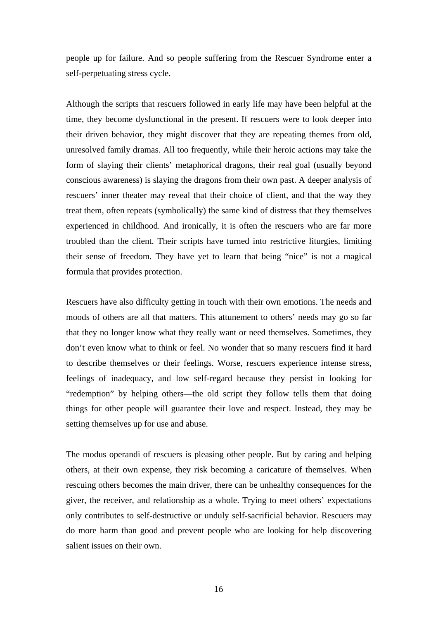people up for failure. And so people suffering from the Rescuer Syndrome enter a self-perpetuating stress cycle.

Although the scripts that rescuers followed in early life may have been helpful at the time, they become dysfunctional in the present. If rescuers were to look deeper into their driven behavior, they might discover that they are repeating themes from old, unresolved family dramas. All too frequently, while their heroic actions may take the form of slaying their clients' metaphorical dragons, their real goal (usually beyond conscious awareness) is slaying the dragons from their own past. A deeper analysis of rescuers' inner theater may reveal that their choice of client, and that the way they treat them, often repeats (symbolically) the same kind of distress that they themselves experienced in childhood. And ironically, it is often the rescuers who are far more troubled than the client. Their scripts have turned into restrictive liturgies, limiting their sense of freedom. They have yet to learn that being "nice" is not a magical formula that provides protection.

Rescuers have also difficulty getting in touch with their own emotions. The needs and moods of others are all that matters. This attunement to others' needs may go so far that they no longer know what they really want or need themselves. Sometimes, they don't even know what to think or feel. No wonder that so many rescuers find it hard to describe themselves or their feelings. Worse, rescuers experience intense stress, feelings of inadequacy, and low self-regard because they persist in looking for "redemption" by helping others—the old script they follow tells them that doing things for other people will guarantee their love and respect. Instead, they may be setting themselves up for use and abuse.

The modus operandi of rescuers is pleasing other people. But by caring and helping others, at their own expense, they risk becoming a caricature of themselves. When rescuing others becomes the main driver, there can be unhealthy consequences for the giver, the receiver, and relationship as a whole. Trying to meet others' expectations only contributes to self-destructive or unduly self-sacrificial behavior. Rescuers may do more harm than good and prevent people who are looking for help discovering salient issues on their own.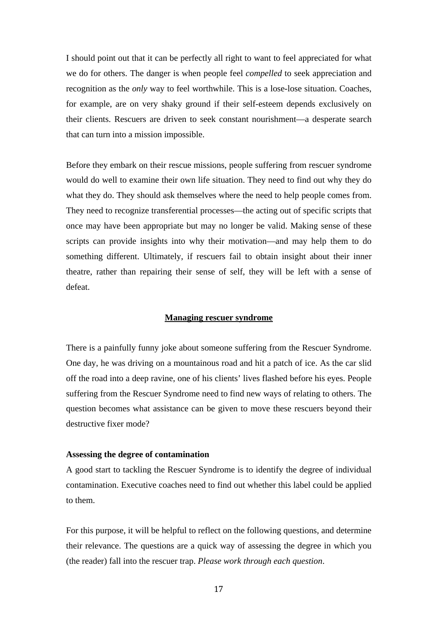I should point out that it can be perfectly all right to want to feel appreciated for what we do for others. The danger is when people feel *compelled* to seek appreciation and recognition as the *only* way to feel worthwhile. This is a lose-lose situation. Coaches, for example, are on very shaky ground if their self-esteem depends exclusively on their clients. Rescuers are driven to seek constant nourishment—a desperate search that can turn into a mission impossible.

Before they embark on their rescue missions, people suffering from rescuer syndrome would do well to examine their own life situation. They need to find out why they do what they do. They should ask themselves where the need to help people comes from. They need to recognize transferential processes—the acting out of specific scripts that once may have been appropriate but may no longer be valid. Making sense of these scripts can provide insights into why their motivation—and may help them to do something different. Ultimately, if rescuers fail to obtain insight about their inner theatre, rather than repairing their sense of self, they will be left with a sense of defeat.

# **Managing rescuer syndrome**

There is a painfully funny joke about someone suffering from the Rescuer Syndrome. One day, he was driving on a mountainous road and hit a patch of ice. As the car slid off the road into a deep ravine, one of his clients' lives flashed before his eyes. People suffering from the Rescuer Syndrome need to find new ways of relating to others. The question becomes what assistance can be given to move these rescuers beyond their destructive fixer mode?

# **Assessing the degree of contamination**

A good start to tackling the Rescuer Syndrome is to identify the degree of individual contamination. Executive coaches need to find out whether this label could be applied to them.

For this purpose, it will be helpful to reflect on the following questions, and determine their relevance. The questions are a quick way of assessing the degree in which you (the reader) fall into the rescuer trap. *Please work through each question*.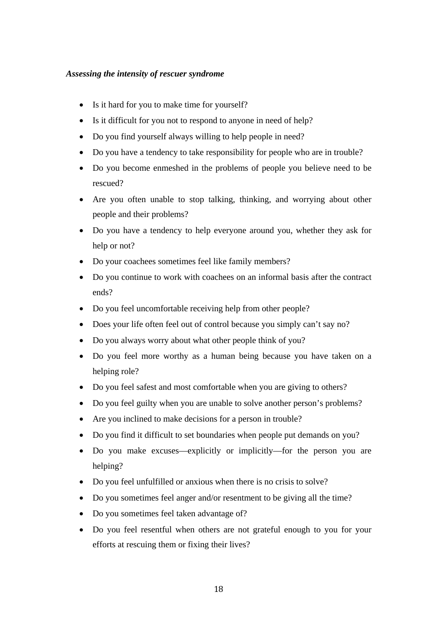# *Assessing the intensity of rescuer syndrome*

- Is it hard for you to make time for yourself?
- Is it difficult for you not to respond to anyone in need of help?
- Do you find yourself always willing to help people in need?
- Do you have a tendency to take responsibility for people who are in trouble?
- Do you become enmeshed in the problems of people you believe need to be rescued?
- Are you often unable to stop talking, thinking, and worrying about other people and their problems?
- Do you have a tendency to help everyone around you, whether they ask for help or not?
- Do your coachees sometimes feel like family members?
- Do you continue to work with coachees on an informal basis after the contract ends?
- Do you feel uncomfortable receiving help from other people?
- Does your life often feel out of control because you simply can't say no?
- Do you always worry about what other people think of you?
- Do you feel more worthy as a human being because you have taken on a helping role?
- Do you feel safest and most comfortable when you are giving to others?
- Do you feel guilty when you are unable to solve another person's problems?
- Are you inclined to make decisions for a person in trouble?
- Do you find it difficult to set boundaries when people put demands on you?
- Do you make excuses—explicitly or implicitly—for the person you are helping?
- Do you feel unfulfilled or anxious when there is no crisis to solve?
- Do you sometimes feel anger and/or resentment to be giving all the time?
- Do you sometimes feel taken advantage of?
- Do you feel resentful when others are not grateful enough to you for your efforts at rescuing them or fixing their lives?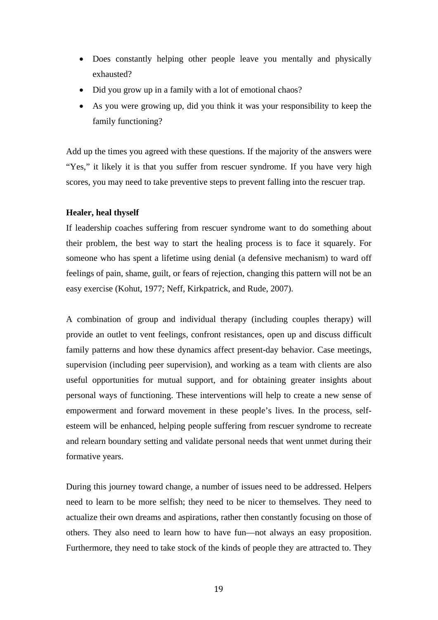- Does constantly helping other people leave you mentally and physically exhausted?
- Did you grow up in a family with a lot of emotional chaos?
- As you were growing up, did you think it was your responsibility to keep the family functioning?

Add up the times you agreed with these questions. If the majority of the answers were "Yes," it likely it is that you suffer from rescuer syndrome. If you have very high scores, you may need to take preventive steps to prevent falling into the rescuer trap.

# **Healer, heal thyself**

If leadership coaches suffering from rescuer syndrome want to do something about their problem, the best way to start the healing process is to face it squarely. For someone who has spent a lifetime using denial (a defensive mechanism) to ward off feelings of pain, shame, guilt, or fears of rejection, changing this pattern will not be an easy exercise (Kohut, 1977; Neff, Kirkpatrick, and Rude, 2007).

A combination of group and individual therapy (including couples therapy) will provide an outlet to vent feelings, confront resistances, open up and discuss difficult family patterns and how these dynamics affect present-day behavior. Case meetings, supervision (including peer supervision), and working as a team with clients are also useful opportunities for mutual support, and for obtaining greater insights about personal ways of functioning. These interventions will help to create a new sense of empowerment and forward movement in these people's lives. In the process, selfesteem will be enhanced, helping people suffering from rescuer syndrome to recreate and relearn boundary setting and validate personal needs that went unmet during their formative years.

During this journey toward change, a number of issues need to be addressed. Helpers need to learn to be more selfish; they need to be nicer to themselves. They need to actualize their own dreams and aspirations, rather then constantly focusing on those of others. They also need to learn how to have fun—not always an easy proposition. Furthermore, they need to take stock of the kinds of people they are attracted to. They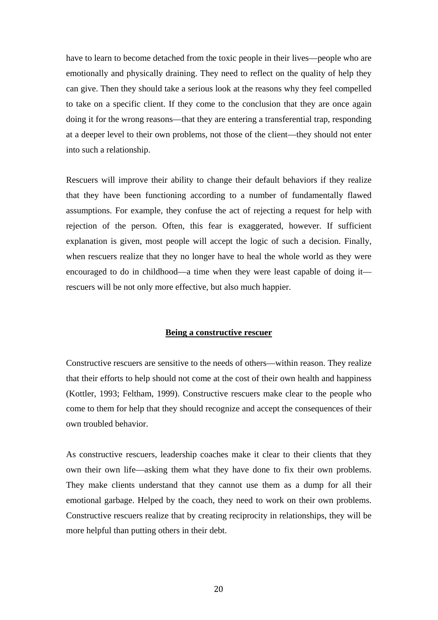have to learn to become detached from the toxic people in their lives—people who are emotionally and physically draining. They need to reflect on the quality of help they can give. Then they should take a serious look at the reasons why they feel compelled to take on a specific client. If they come to the conclusion that they are once again doing it for the wrong reasons—that they are entering a transferential trap, responding at a deeper level to their own problems, not those of the client—they should not enter into such a relationship.

Rescuers will improve their ability to change their default behaviors if they realize that they have been functioning according to a number of fundamentally flawed assumptions. For example, they confuse the act of rejecting a request for help with rejection of the person. Often, this fear is exaggerated, however. If sufficient explanation is given, most people will accept the logic of such a decision. Finally, when rescuers realize that they no longer have to heal the whole world as they were encouraged to do in childhood—a time when they were least capable of doing it rescuers will be not only more effective, but also much happier.

#### **Being a constructive rescuer**

Constructive rescuers are sensitive to the needs of others—within reason. They realize that their efforts to help should not come at the cost of their own health and happiness (Kottler, 1993; Feltham, 1999). Constructive rescuers make clear to the people who come to them for help that they should recognize and accept the consequences of their own troubled behavior.

As constructive rescuers, leadership coaches make it clear to their clients that they own their own life—asking them what they have done to fix their own problems. They make clients understand that they cannot use them as a dump for all their emotional garbage. Helped by the coach, they need to work on their own problems. Constructive rescuers realize that by creating reciprocity in relationships, they will be more helpful than putting others in their debt.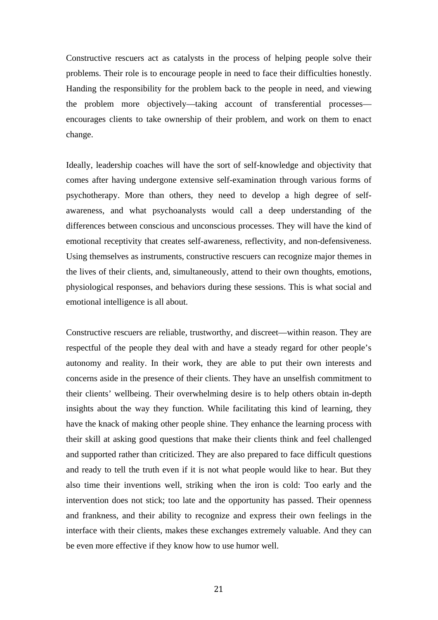Constructive rescuers act as catalysts in the process of helping people solve their problems. Their role is to encourage people in need to face their difficulties honestly. Handing the responsibility for the problem back to the people in need, and viewing the problem more objectively—taking account of transferential processes encourages clients to take ownership of their problem, and work on them to enact change.

Ideally, leadership coaches will have the sort of self-knowledge and objectivity that comes after having undergone extensive self-examination through various forms of psychotherapy. More than others, they need to develop a high degree of selfawareness, and what psychoanalysts would call a deep understanding of the differences between conscious and unconscious processes. They will have the kind of emotional receptivity that creates self-awareness, reflectivity, and non-defensiveness. Using themselves as instruments, constructive rescuers can recognize major themes in the lives of their clients, and, simultaneously, attend to their own thoughts, emotions, physiological responses, and behaviors during these sessions. This is what social and emotional intelligence is all about.

Constructive rescuers are reliable, trustworthy, and discreet—within reason. They are respectful of the people they deal with and have a steady regard for other people's autonomy and reality. In their work, they are able to put their own interests and concerns aside in the presence of their clients. They have an unselfish commitment to their clients' wellbeing. Their overwhelming desire is to help others obtain in-depth insights about the way they function. While facilitating this kind of learning, they have the knack of making other people shine. They enhance the learning process with their skill at asking good questions that make their clients think and feel challenged and supported rather than criticized. They are also prepared to face difficult questions and ready to tell the truth even if it is not what people would like to hear. But they also time their inventions well, striking when the iron is cold: Too early and the intervention does not stick; too late and the opportunity has passed. Their openness and frankness, and their ability to recognize and express their own feelings in the interface with their clients, makes these exchanges extremely valuable. And they can be even more effective if they know how to use humor well.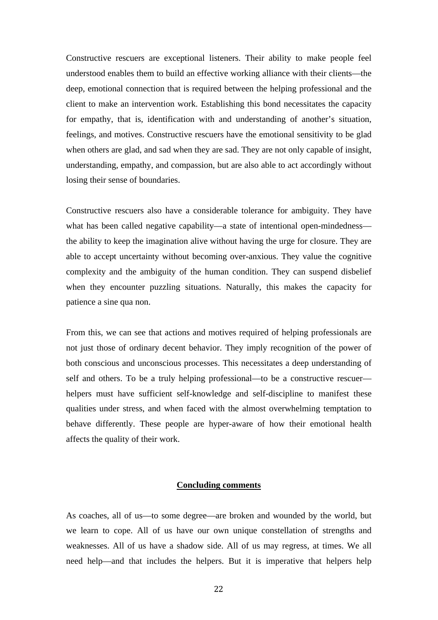Constructive rescuers are exceptional listeners. Their ability to make people feel understood enables them to build an effective working alliance with their clients—the deep, emotional connection that is required between the helping professional and the client to make an intervention work. Establishing this bond necessitates the capacity for empathy, that is, identification with and understanding of another's situation, feelings, and motives. Constructive rescuers have the emotional sensitivity to be glad when others are glad, and sad when they are sad. They are not only capable of insight, understanding, empathy, and compassion, but are also able to act accordingly without losing their sense of boundaries.

Constructive rescuers also have a considerable tolerance for ambiguity. They have what has been called negative capability—a state of intentional open-mindedness the ability to keep the imagination alive without having the urge for closure. They are able to accept uncertainty without becoming over-anxious. They value the cognitive complexity and the ambiguity of the human condition. They can suspend disbelief when they encounter puzzling situations. Naturally, this makes the capacity for patience a sine qua non.

From this, we can see that actions and motives required of helping professionals are not just those of ordinary decent behavior. They imply recognition of the power of both conscious and unconscious processes. This necessitates a deep understanding of self and others. To be a truly helping professional—to be a constructive rescuer helpers must have sufficient self-knowledge and self-discipline to manifest these qualities under stress, and when faced with the almost overwhelming temptation to behave differently. These people are hyper-aware of how their emotional health affects the quality of their work.

#### **Concluding comments**

As coaches, all of us—to some degree—are broken and wounded by the world, but we learn to cope. All of us have our own unique constellation of strengths and weaknesses. All of us have a shadow side. All of us may regress, at times. We all need help—and that includes the helpers. But it is imperative that helpers help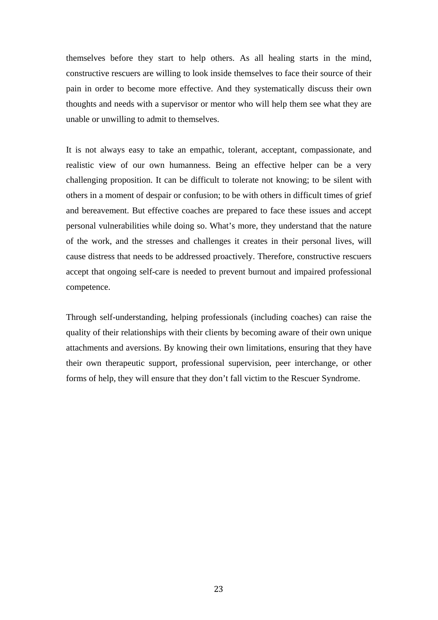themselves before they start to help others. As all healing starts in the mind, constructive rescuers are willing to look inside themselves to face their source of their pain in order to become more effective. And they systematically discuss their own thoughts and needs with a supervisor or mentor who will help them see what they are unable or unwilling to admit to themselves.

It is not always easy to take an empathic, tolerant, acceptant, compassionate, and realistic view of our own humanness. Being an effective helper can be a very challenging proposition. It can be difficult to tolerate not knowing; to be silent with others in a moment of despair or confusion; to be with others in difficult times of grief and bereavement. But effective coaches are prepared to face these issues and accept personal vulnerabilities while doing so. What's more, they understand that the nature of the work, and the stresses and challenges it creates in their personal lives, will cause distress that needs to be addressed proactively. Therefore, constructive rescuers accept that ongoing self-care is needed to prevent burnout and impaired professional competence.

Through self-understanding, helping professionals (including coaches) can raise the quality of their relationships with their clients by becoming aware of their own unique attachments and aversions. By knowing their own limitations, ensuring that they have their own therapeutic support, professional supervision, peer interchange, or other forms of help, they will ensure that they don't fall victim to the Rescuer Syndrome.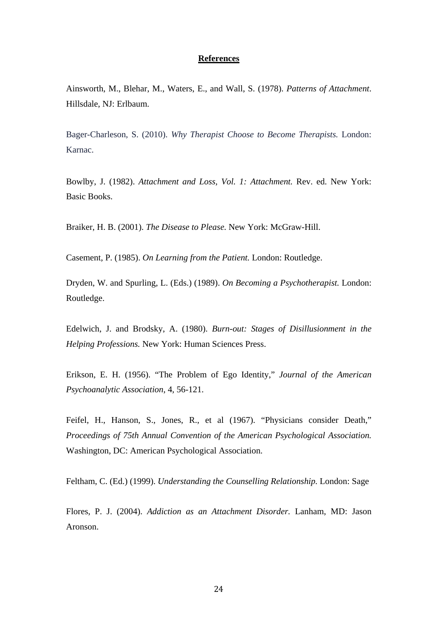# **References**

Ainsworth, M., Blehar, M., Waters, E., and Wall, S. (1978). *Patterns of Attachment*. Hillsdale, NJ: Erlbaum.

Bager-Charleson, S. (2010). *Why Therapist Choose to Become Therapists.* London: Karnac.

Bowlby, J. (1982). *Attachment and Loss, Vol. 1: Attachment.* Rev. ed. New York: Basic Books.

Braiker, H. B. (2001). *The Disease to Please.* New York: McGraw-Hill.

Casement, P. (1985). *On Learning from the Patient.* London: Routledge.

Dryden, W. and Spurling, L. (Eds.) (1989). *On Becoming a Psychotherapist.* London: Routledge.

Edelwich, J. and Brodsky, A. (1980). *Burn-out: Stages of Disillusionment in the Helping Professions.* New York: Human Sciences Press.

Erikson, E. H. (1956). "The Problem of Ego Identity," *Journal of the American Psychoanalytic Association*, 4, 56-121.

Feifel, H., Hanson, S., Jones, R., et al (1967). "Physicians consider Death," *Proceedings of 75th Annual Convention of the American Psychological Association.* Washington, DC: American Psychological Association.

Feltham, C. (Ed.) (1999). *Understanding the Counselling Relationship.* London: Sage

Flores, P. J. (2004). *Addiction as an Attachment Disorder.* Lanham, MD: Jason Aronson.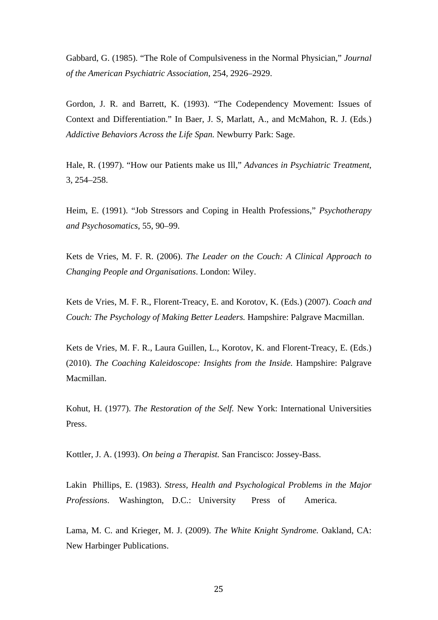Gabbard, G. (1985). "The Role of Compulsiveness in the Normal Physician," *Journal of the American Psychiatric Association*, 254, 2926–2929.

Gordon, J. R. and Barrett, K. (1993). "The Codependency Movement: Issues of Context and Differentiation." In Baer, J. S, Marlatt, A., and McMahon, R. J. (Eds.) *Addictive Behaviors Across the Life Span.* Newburry Park: Sage.

Hale, R. (1997). "How our Patients make us Ill," *Advances in Psychiatric Treatment*, 3, 254–258.

Heim, E. (1991). "Job Stressors and Coping in Health Professions," *Psychotherapy and Psychosomatics*, 55, 90–99.

Kets de Vries, M. F. R. (2006). *The Leader on the Couch: A Clinical Approach to Changing People and Organisations*. London: Wiley.

Kets de Vries, M. F. R., Florent-Treacy, E. and Korotov, K. (Eds.) (2007). *Coach and Couch: The Psychology of Making Better Leaders.* Hampshire: Palgrave Macmillan.

Kets de Vries, M. F. R., Laura Guillen, L., Korotov, K. and Florent-Treacy, E. (Eds.) (2010). *The Coaching Kaleidoscope: Insights from the Inside.* Hampshire: Palgrave Macmillan.

Kohut, H. (1977). *The Restoration of the Self.* New York: International Universities Press.

Kottler, J. A. (1993). *On being a Therapist.* San Francisco: Jossey-Bass.

Lakin Phillips, E. (1983). *Stress, Health and Psychological Problems in the Major Professions*. Washington, D.C.: University Press of America.

Lama, M. C. and Krieger, M. J. (2009). *The White Knight Syndrome.* Oakland, CA: New Harbinger Publications.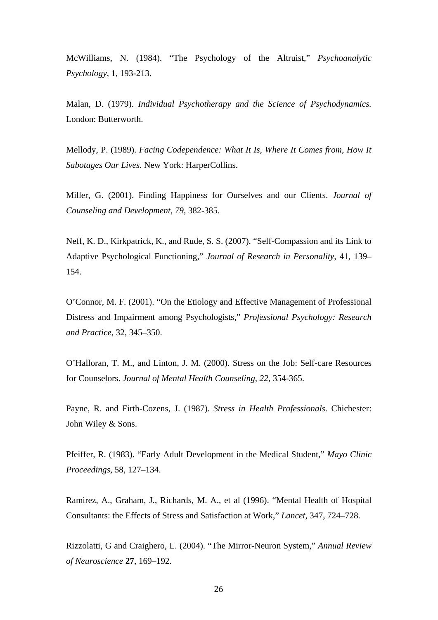McWilliams, N. (1984). "The Psychology of the Altruist," *Psychoanalytic Psychology*, 1, 193-213.

Malan, D. (1979). *Individual Psychotherapy and the Science of Psychodynamics.* London: Butterworth.

Mellody, P. (1989). *Facing Codependence: What It Is, Where It Comes from, How It Sabotages Our Lives.* New York: HarperCollins.

Miller, G. (2001). Finding Happiness for Ourselves and our Clients. *Journal of Counseling and Development, 79*, 382-385.

Neff, K. D., Kirkpatrick, K., and Rude, S. S. (2007). "Self-Compassion and its Link to Adaptive Psychological Functioning," *Journal of Research in Personality*, 41, 139– 154.

O'Connor, M. F. (2001). "On the Etiology and Effective Management of Professional Distress and Impairment among Psychologists," *Professional Psychology: Research and Practice*, 32, 345–350.

O'Halloran, T. M., and Linton, J. M. (2000). Stress on the Job: Self-care Resources for Counselors. *Journal of Mental Health Counseling, 22*, 354-365.

Payne, R. and Firth-Cozens, J. (1987). *Stress in Health Professionals.* Chichester: John Wiley & Sons.

Pfeiffer, R. (1983). "Early Adult Development in the Medical Student," *Mayo Clinic Proceedings*, 58, 127–134.

Ramirez, A., Graham, J., Richards, M. A., et al (1996). "Mental Health of Hospital Consultants: the Effects of Stress and Satisfaction at Work," *Lancet*, 347, 724–728.

Rizzolatti, G and Craighero, L. (2004). "The Mirror-Neuron System," *Annual Review of Neuroscience* **27**, 169–192.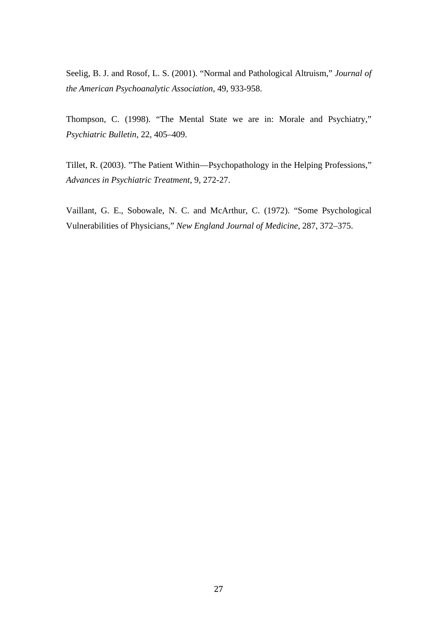Seelig, B. J. and Rosof, L. S. (2001). "Normal and Pathological Altruism," *Journal of the American Psychoanalytic Association*, 49, 933-958.

Thompson, C. (1998). "The Mental State we are in: Morale and Psychiatry," *Psychiatric Bulletin*, 22, 405–409.

Tillet, R. (2003). "The Patient Within—Psychopathology in the Helping Professions," *Advances in Psychiatric Treatment*, 9, 272-27.

Vaillant, G. E., Sobowale, N. C. and McArthur, C. (1972). "Some Psychological Vulnerabilities of Physicians," *New England Journal of Medicine*, 287, 372–375.